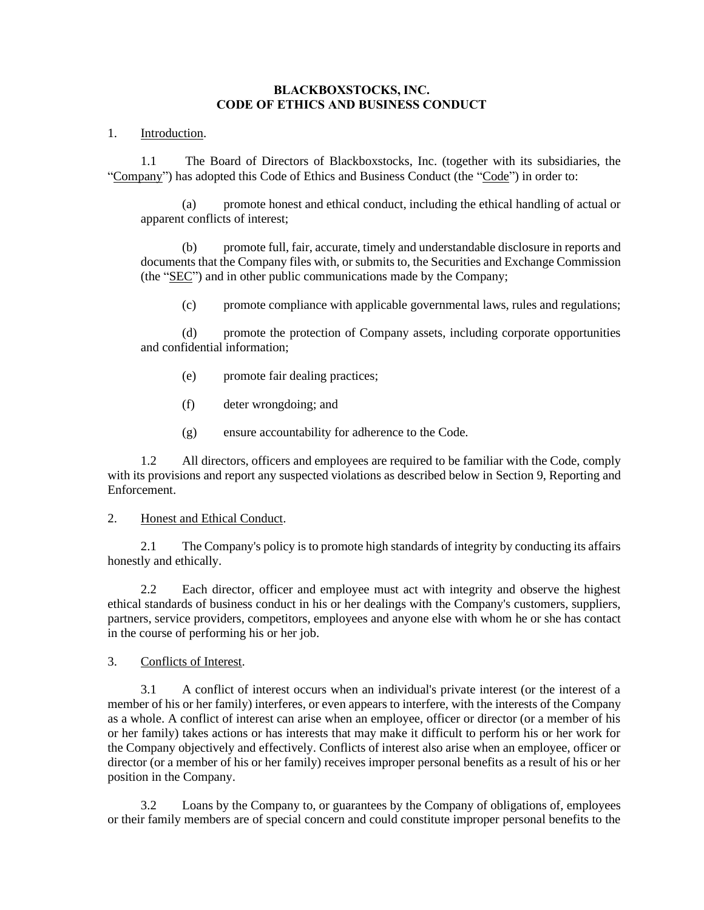### **BLACKBOXSTOCKS, INC. CODE OF ETHICS AND BUSINESS CONDUCT**

1. Introduction.

1.1 The Board of Directors of Blackboxstocks, Inc. (together with its subsidiaries, the "Company") has adopted this Code of Ethics and Business Conduct (the "Code") in order to:

(a) promote honest and ethical conduct, including the ethical handling of actual or apparent conflicts of interest;

(b) promote full, fair, accurate, timely and understandable disclosure in reports and documents that the Company files with, or submits to, the Securities and Exchange Commission (the "SEC") and in other public communications made by the Company;

(c) promote compliance with applicable governmental laws, rules and regulations;

(d) promote the protection of Company assets, including corporate opportunities and confidential information;

- (e) promote fair dealing practices;
- (f) deter wrongdoing; and
- (g) ensure accountability for adherence to the Code.

1.2 All directors, officers and employees are required to be familiar with the Code, comply with its provisions and report any suspected violations as described below in [Section 9,](#page-2-0) Reporting and Enforcement.

# 2. Honest and Ethical Conduct.

2.1 The Company's policy is to promote high standards of integrity by conducting its affairs honestly and ethically.

2.2 Each director, officer and employee must act with integrity and observe the highest ethical standards of business conduct in his or her dealings with the Company's customers, suppliers, partners, service providers, competitors, employees and anyone else with whom he or she has contact in the course of performing his or her job.

3. Conflicts of Interest.

3.1 A conflict of interest occurs when an individual's private interest (or the interest of a member of his or her family) interferes, or even appears to interfere, with the interests of the Company as a whole. A conflict of interest can arise when an employee, officer or director (or a member of his or her family) takes actions or has interests that may make it difficult to perform his or her work for the Company objectively and effectively. Conflicts of interest also arise when an employee, officer or director (or a member of his or her family) receives improper personal benefits as a result of his or her position in the Company.

3.2 Loans by the Company to, or guarantees by the Company of obligations of, employees or their family members are of special concern and could constitute improper personal benefits to the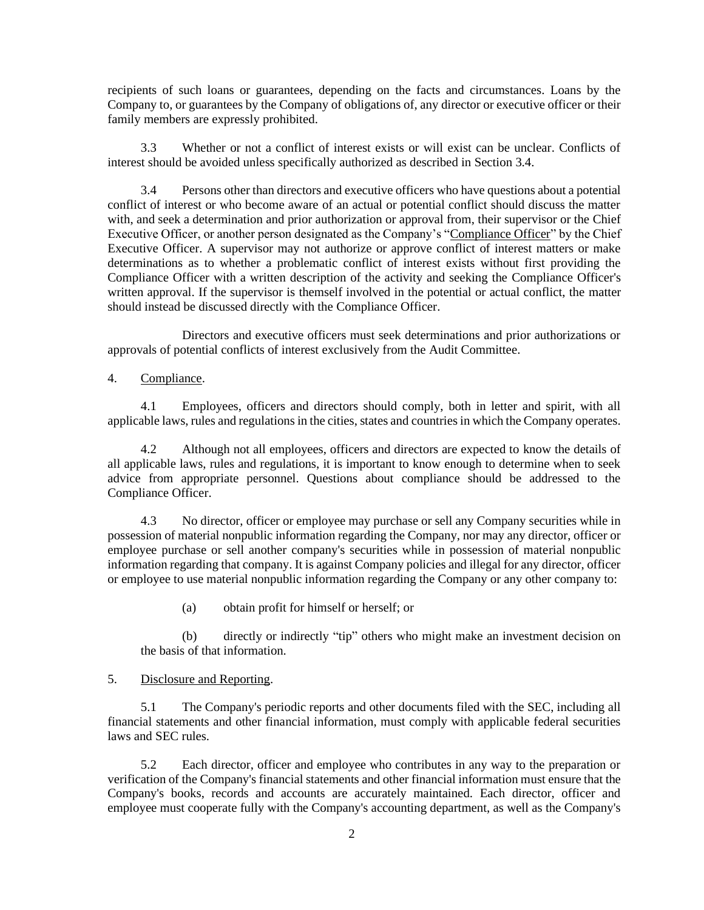recipients of such loans or guarantees, depending on the facts and circumstances. Loans by the Company to, or guarantees by the Company of obligations of, any director or executive officer or their family members are expressly prohibited.

3.3 Whether or not a conflict of interest exists or will exist can be unclear. Conflicts of interest should be avoided unless specifically authorized as described in Section 3.4.

3.4 Persons other than directors and executive officers who have questions about a potential conflict of interest or who become aware of an actual or potential conflict should discuss the matter with, and seek a determination and prior authorization or approval from, their supervisor or the Chief Executive Officer, or another person designated as the Company's "Compliance Officer" by the Chief Executive Officer. A supervisor may not authorize or approve conflict of interest matters or make determinations as to whether a problematic conflict of interest exists without first providing the Compliance Officer with a written description of the activity and seeking the Compliance Officer's written approval. If the supervisor is themself involved in the potential or actual conflict, the matter should instead be discussed directly with the Compliance Officer.

Directors and executive officers must seek determinations and prior authorizations or approvals of potential conflicts of interest exclusively from the Audit Committee.

4. Compliance.

4.1 Employees, officers and directors should comply, both in letter and spirit, with all applicable laws, rules and regulations in the cities, states and countries in which the Company operates.

4.2 Although not all employees, officers and directors are expected to know the details of all applicable laws, rules and regulations, it is important to know enough to determine when to seek advice from appropriate personnel. Questions about compliance should be addressed to the Compliance Officer.

4.3 No director, officer or employee may purchase or sell any Company securities while in possession of material nonpublic information regarding the Company, nor may any director, officer or employee purchase or sell another company's securities while in possession of material nonpublic information regarding that company. It is against Company policies and illegal for any director, officer or employee to use material nonpublic information regarding the Company or any other company to:

(a) obtain profit for himself or herself; or

(b) directly or indirectly "tip" others who might make an investment decision on the basis of that information.

# 5. Disclosure and Reporting.

5.1 The Company's periodic reports and other documents filed with the SEC, including all financial statements and other financial information, must comply with applicable federal securities laws and SEC rules.

5.2 Each director, officer and employee who contributes in any way to the preparation or verification of the Company's financial statements and other financial information must ensure that the Company's books, records and accounts are accurately maintained. Each director, officer and employee must cooperate fully with the Company's accounting department, as well as the Company's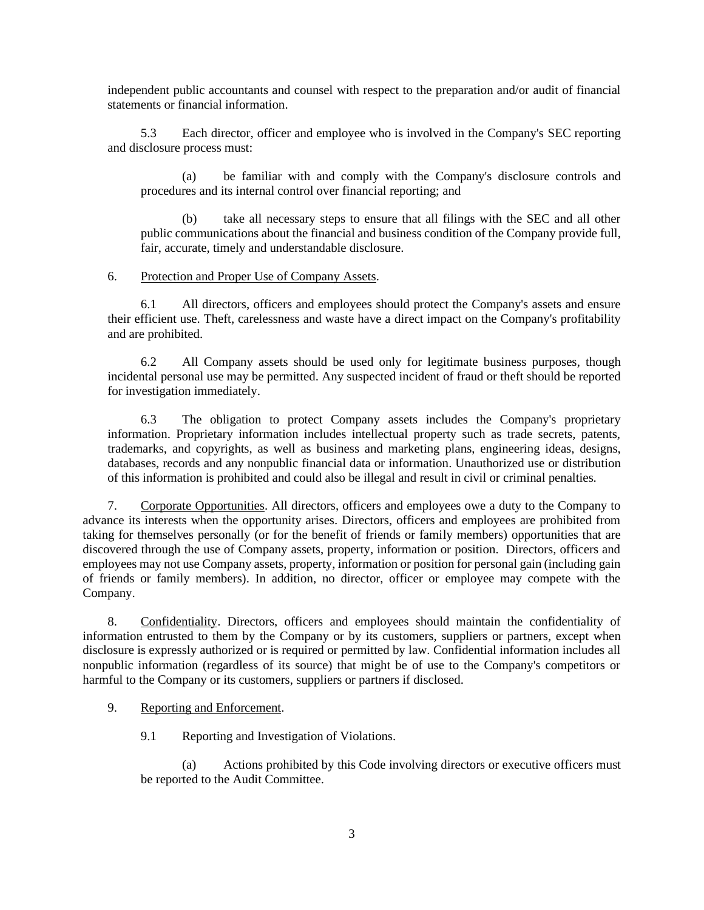independent public accountants and counsel with respect to the preparation and/or audit of financial statements or financial information.

5.3 Each director, officer and employee who is involved in the Company's SEC reporting and disclosure process must:

(a) be familiar with and comply with the Company's disclosure controls and procedures and its internal control over financial reporting; and

(b) take all necessary steps to ensure that all filings with the SEC and all other public communications about the financial and business condition of the Company provide full, fair, accurate, timely and understandable disclosure.

### 6. Protection and Proper Use of Company Assets.

6.1 All directors, officers and employees should protect the Company's assets and ensure their efficient use. Theft, carelessness and waste have a direct impact on the Company's profitability and are prohibited.

6.2 All Company assets should be used only for legitimate business purposes, though incidental personal use may be permitted. Any suspected incident of fraud or theft should be reported for investigation immediately.

6.3 The obligation to protect Company assets includes the Company's proprietary information. Proprietary information includes intellectual property such as trade secrets, patents, trademarks, and copyrights, as well as business and marketing plans, engineering ideas, designs, databases, records and any nonpublic financial data or information. Unauthorized use or distribution of this information is prohibited and could also be illegal and result in civil or criminal penalties.

7. Corporate Opportunities. All directors, officers and employees owe a duty to the Company to advance its interests when the opportunity arises. Directors, officers and employees are prohibited from taking for themselves personally (or for the benefit of friends or family members) opportunities that are discovered through the use of Company assets, property, information or position. Directors, officers and employees may not use Company assets, property, information or position for personal gain (including gain of friends or family members). In addition, no director, officer or employee may compete with the Company.

8. Confidentiality. Directors, officers and employees should maintain the confidentiality of information entrusted to them by the Company or by its customers, suppliers or partners, except when disclosure is expressly authorized or is required or permitted by law. Confidential information includes all nonpublic information (regardless of its source) that might be of use to the Company's competitors or harmful to the Company or its customers, suppliers or partners if disclosed.

# <span id="page-2-0"></span>9. Reporting and Enforcement.

9.1 Reporting and Investigation of Violations.

(a) Actions prohibited by this Code involving directors or executive officers must be reported to the Audit Committee.